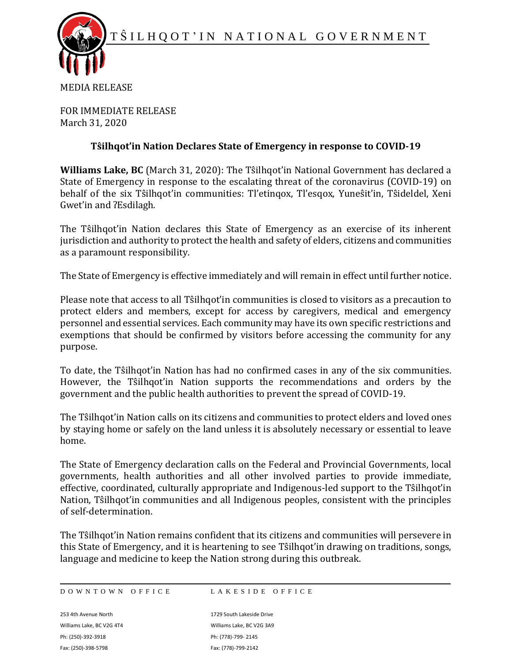

MEDIA RELEASE

FOR IMMEDIATE RELEASE March 31, 2020

## **Tŝilhqot'in Nation Declares State of Emergency in response to COVID-19**

**Williams Lake, BC** (March 31, 2020): The Tŝilhqot'in National Government has declared a State of Emergency in response to the escalating threat of the coronavirus (COVID-19) on behalf of the six Tŝilhqot'in communities: Tl'etinqox, Tl'esqox, Yuneŝit'in, Tŝideldel, Xeni Gwet'in and ʔEsdilagh.

The Tŝilhqot'in Nation declares this State of Emergency as an exercise of its inherent jurisdiction and authority to protect the health and safety of elders, citizens and communities as a paramount responsibility.

The State of Emergency is effective immediately and will remain in effect until further notice.

Please note that access to all Tŝilhqot'in communities is closed to visitors as a precaution to protect elders and members, except for access by caregivers, medical and emergency personnel and essential services. Each community may have its own specific restrictions and exemptions that should be confirmed by visitors before accessing the community for any purpose.

To date, the Tŝilhqot'in Nation has had no confirmed cases in any of the six communities. However, the Tŝilhqot'in Nation supports the recommendations and orders by the government and the public health authorities to prevent the spread of COVID-19.

The Tŝilhqot'in Nation calls on its citizens and communities to protect elders and loved ones by staying home or safely on the land unless it is absolutely necessary or essential to leave home.

The State of Emergency declaration calls on the Federal and Provincial Governments, local governments, health authorities and all other involved parties to provide immediate, effective, coordinated, culturally appropriate and Indigenous-led support to the Tŝilhqot'in Nation, Tŝilhqot'in communities and all Indigenous peoples, consistent with the principles of self-determination.

The Tŝilhqot'in Nation remains confident that its citizens and communities will persevere in this State of Emergency, and it is heartening to see Tŝilhqot'in drawing on traditions, songs, language and medicine to keep the Nation strong during this outbreak.

D O W N T O W N O F F I C E L A K E S I D E O F F I C E

253 4th Avenue North 1729 South Lakeside Drive Williams Lake, BC V2G 4T4 Williams Lake, BC V2G 3A9 Ph: (250)-392-3918 Ph: (778)-799- 2145 Fax: (250)-398-5798 Fax: (778)-799-2142